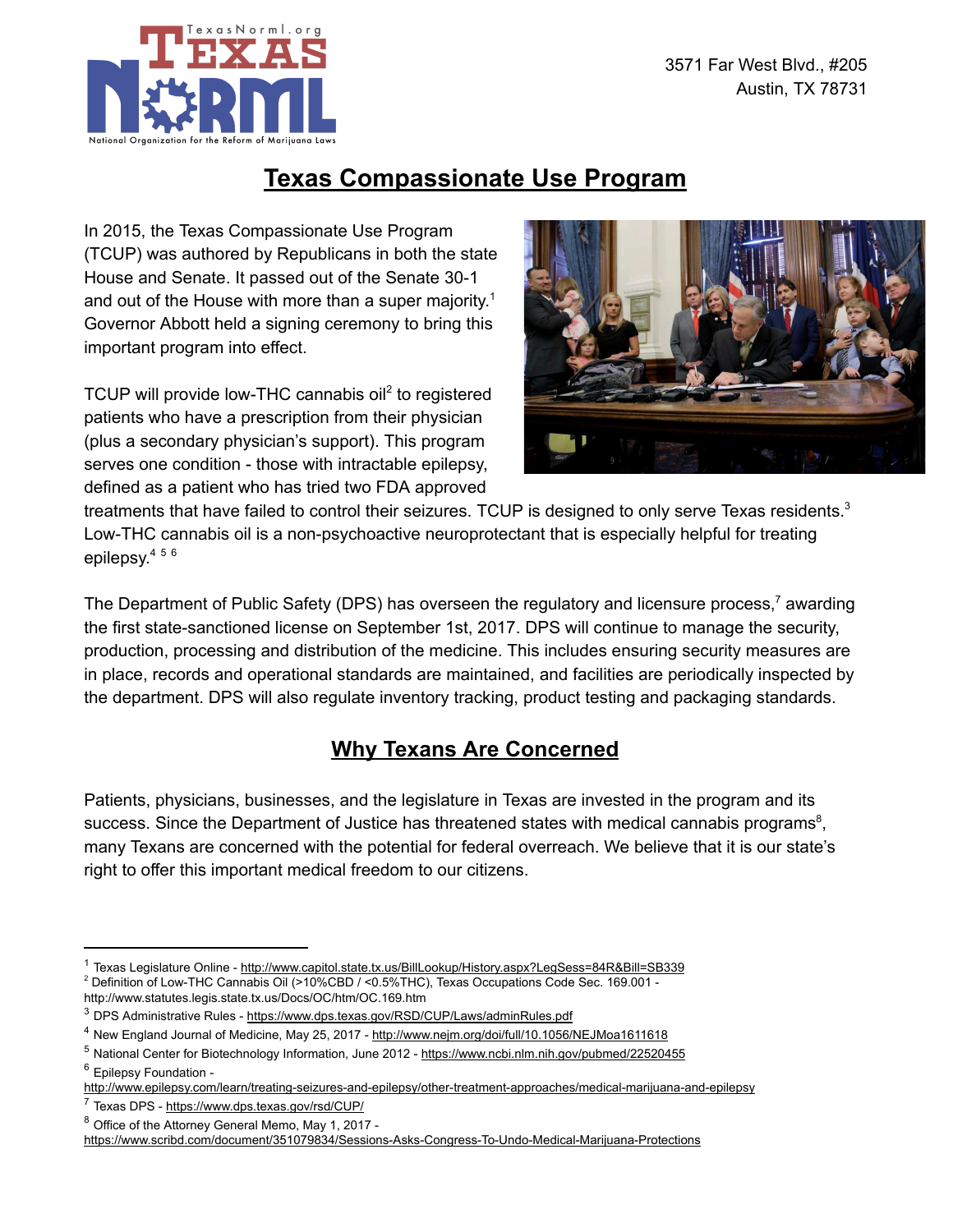

## Texas Compassionate Use Program

In 2015, the Texas Compassionate Use Program (TCUP) was authored by Republicans in both the state House and Senate. It passed out of the Senate 30-1 and out of the House with more than a super majority. $^{\rm 1}$ Governor Abbott held a signing ceremony to bring this important program into effect.

TCUP will provide low-THC cannabis oil<sup>2</sup> to registered patients who have a prescription from their physician (plus a secondary physician's support). This program serves one condition - those with intractable epilepsy, defined as a patient who has tried two FDA approved



treatments that have failed to control their seizures. TCUP is designed to only serve Texas residents. $^3$ Low-THC cannabis oil is a non-psychoactive neuroprotectant that is especially helpful for treating epilepsy. 4 5 6

The Department of Public Safety (DPS) has overseen the regulatory and licensure process,<sup>7</sup> awarding the first state-sanctioned license on September 1st, 2017. DPS will continue to manage the security, production, processing and distribution of the medicine. This includes ensuring security measures are in place, records and operational standards are maintained, and facilities are periodically inspected by the department. DPS will also regulate inventory tracking, product testing and packaging standards.

## Why Texans Are Concerned

Patients, physicians, businesses, and the legislature in Texas are invested in the program and its success. Since the Department of Justice has threatened states with medical cannabis programs<sup>8</sup>, many Texans are concerned with the potential for federal overreach. We believe that it is our state's right to offer this important medical freedom to our citizens.

<sup>&</sup>lt;sup>1</sup> Texas Legislature Online - <http://www.capitol.state.tx.us/BillLookup/History.aspx?LegSess=84R&Bill=SB339> <sup>2</sup> Definition of Low-THC Cannabis Oil (>10%CBD / <0.5%THC), Texas Occupations Code Sec. 169.001 http://www.statutes.legis.state.tx.us/Docs/OC/htm/OC.169.htm

<sup>&</sup>lt;sup>3</sup> DPS Administrative Rules - <https://www.dps.texas.gov/RSD/CUP/Laws/adminRules.pdf>

<sup>4</sup> New England Journal of Medicine, May 25, 2017 - <http://www.nejm.org/doi/full/10.1056/NEJMoa1611618>

<sup>5</sup> National Center for Biotechnology Information, June 2012 - <https://www.ncbi.nlm.nih.gov/pubmed/22520455> <sup>6</sup> Epilepsy Foundation -

<http://www.epilepsy.com/learn/treating-seizures-and-epilepsy/other-treatment-approaches/medical-marijuana-and-epilepsy>

<sup>7</sup> Texas DPS - <https://www.dps.texas.gov/rsd/CUP/>

<sup>8</sup> Office of the Attorney General Memo, May 1, 2017 -

<https://www.scribd.com/document/351079834/Sessions-Asks-Congress-To-Undo-Medical-Marijuana-Protections>